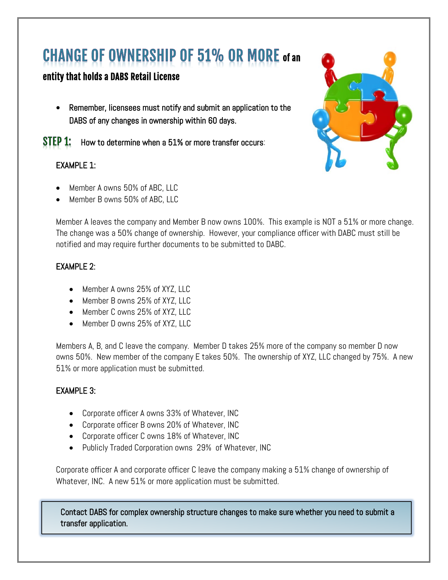# **CHANGE OF OWNERSHIP OF 51% OR MORE of an**

## entity that holds a DABS Retail License

• Remember, licensees must notify and submit an application to the DABS of any changes in ownership within 60 days.

STEP 1: How to determine when a 51% or more transfer occurs:

#### EXAMPLE 1:

- Member A owns 50% of ABC, LLC
- Member B owns 50% of ABC, LLC

Member A leaves the company and Member B now owns 100%. This example is NOT a 51% or more change. The change was a 50% change of ownership. However, your compliance officer with DABC must still be notified and may require further documents to be submitted to DABC.

#### EXAMPLE 2:

- Member A owns 25% of XYZ, LLC
- Member B owns 25% of XYZ, LLC
- Member C owns 25% of XYZ, LLC
- Member D owns 25% of XYZ, LLC

Members A, B, and C leave the company. Member D takes 25% more of the company so member D now owns 50%. New member of the company E takes 50%. The ownership of XYZ, LLC changed by 75%. A new 51% or more application must be submitted.

#### EXAMPLE 3:

- Corporate officer A owns 33% of Whatever, INC
- Corporate officer B owns 20% of Whatever, INC
- Corporate officer C owns 18% of Whatever, INC
- Publicly Traded Corporation owns 29% of Whatever, INC

Corporate officer A and corporate officer C leave the company making a 51% change of ownership of Whatever, INC. A new 51% or more application must be submitted.

Contact DABS for complex ownership structure changes to make sure whether you need to submit a transfer application.